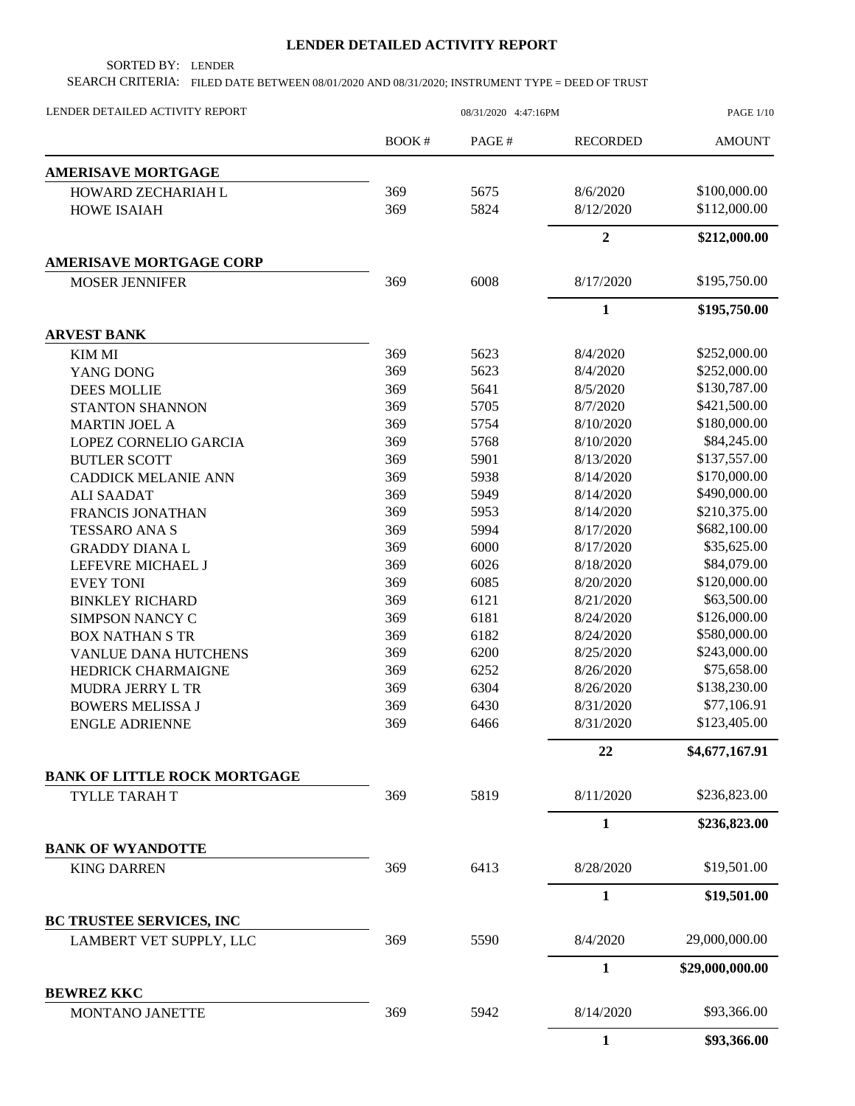## **LENDER DETAILED ACTIVITY REPORT**

SORTED BY: LENDER

SEARCH CRITERIA: FILED DATE BETWEEN 08/01/2020 AND 08/31/2020; INSTRUMENT TYPE = DEED OF TRUST

| BOOK#<br>PAGE#<br><b>RECORDED</b><br><b>AMOUNT</b><br><b>AMERISAVE MORTGAGE</b><br>\$100,000.00<br>369<br>5675<br>8/6/2020<br>HOWARD ZECHARIAH L<br>5824<br>\$112,000.00<br>369<br>8/12/2020<br><b>HOWE ISAIAH</b><br>$\overline{2}$<br>\$212,000.00<br><b>AMERISAVE MORTGAGE CORP</b><br>\$195,750.00<br>6008<br>8/17/2020<br><b>MOSER JENNIFER</b><br>369<br>$\mathbf{1}$<br>\$195,750.00<br><b>ARVEST BANK</b><br>\$252,000.00<br>369<br>5623<br>8/4/2020<br><b>KIM MI</b><br>369<br>\$252,000.00<br>5623<br>8/4/2020<br>YANG DONG<br>369<br>\$130,787.00<br>5641<br>8/5/2020<br><b>DEES MOLLIE</b><br>\$421,500.00<br>369<br>5705<br>8/7/2020<br>STANTON SHANNON<br>\$180,000.00<br>369<br>5754<br>8/10/2020<br><b>MARTIN JOEL A</b><br>\$84,245.00<br>369<br>5768<br>8/10/2020<br>LOPEZ CORNELIO GARCIA<br>\$137,557.00<br>369<br>5901<br>8/13/2020<br><b>BUTLER SCOTT</b><br>\$170,000.00<br>369<br>5938<br>8/14/2020<br><b>CADDICK MELANIE ANN</b><br>\$490,000.00<br><b>ALI SAADAT</b><br>369<br>5949<br>8/14/2020<br>369<br>\$210,375.00<br>5953<br>8/14/2020<br>FRANCIS JONATHAN<br>\$682,100.00<br>369<br>5994<br>8/17/2020<br><b>TESSARO ANA S</b><br>369<br>\$35,625.00<br>6000<br>8/17/2020<br><b>GRADDY DIANAL</b><br>\$84,079.00<br>369<br>6026<br>8/18/2020<br>LEFEVRE MICHAEL J<br>369<br>6085<br>8/20/2020<br>\$120,000.00<br><b>EVEY TONI</b><br>\$63,500.00<br>369<br>6121<br>8/21/2020<br><b>BINKLEY RICHARD</b><br>\$126,000.00<br>369<br>6181<br>8/24/2020<br><b>SIMPSON NANCY C</b><br>\$580,000.00<br>369<br>6182<br>8/24/2020<br><b>BOX NATHAN S TR</b><br>\$243,000.00<br>369<br>6200<br>8/25/2020<br><b>VANLUE DANA HUTCHENS</b><br>\$75,658.00<br>369<br>6252<br>8/26/2020<br><b>HEDRICK CHARMAIGNE</b><br>369<br>6304<br>8/26/2020<br>\$138,230.00<br>MUDRA JERRY L TR<br>\$77,106.91<br>369<br><b>BOWERS MELISSA J</b><br>6430<br>8/31/2020<br>\$123,405.00<br>369<br>6466<br>8/31/2020<br><b>ENGLE ADRIENNE</b><br>22<br>\$4,677,167.91<br><b>BANK OF LITTLE ROCK MORTGAGE</b><br>5819<br>\$236,823.00<br>369<br>8/11/2020<br>TYLLE TARAH T<br>$\mathbf{1}$<br>\$236,823.00<br><b>BANK OF WYANDOTTE</b><br>6413<br>8/28/2020<br>\$19,501.00<br>369<br><b>KING DARREN</b><br>$\mathbf{1}$<br>\$19,501.00<br><b>BC TRUSTEE SERVICES, INC</b><br>29,000,000.00<br>369<br>8/4/2020<br>LAMBERT VET SUPPLY, LLC<br>5590 | LENDER DETAILED ACTIVITY REPORT |  | <b>PAGE 1/10</b> |                 |
|----------------------------------------------------------------------------------------------------------------------------------------------------------------------------------------------------------------------------------------------------------------------------------------------------------------------------------------------------------------------------------------------------------------------------------------------------------------------------------------------------------------------------------------------------------------------------------------------------------------------------------------------------------------------------------------------------------------------------------------------------------------------------------------------------------------------------------------------------------------------------------------------------------------------------------------------------------------------------------------------------------------------------------------------------------------------------------------------------------------------------------------------------------------------------------------------------------------------------------------------------------------------------------------------------------------------------------------------------------------------------------------------------------------------------------------------------------------------------------------------------------------------------------------------------------------------------------------------------------------------------------------------------------------------------------------------------------------------------------------------------------------------------------------------------------------------------------------------------------------------------------------------------------------------------------------------------------------------------------------------------------------------------------------------------------------------------------------------------------------------------------------------------------------------------------------------------------------------------------------------------------------------------------------------------------------------------------------------------|---------------------------------|--|------------------|-----------------|
|                                                                                                                                                                                                                                                                                                                                                                                                                                                                                                                                                                                                                                                                                                                                                                                                                                                                                                                                                                                                                                                                                                                                                                                                                                                                                                                                                                                                                                                                                                                                                                                                                                                                                                                                                                                                                                                                                                                                                                                                                                                                                                                                                                                                                                                                                                                                                    |                                 |  |                  |                 |
|                                                                                                                                                                                                                                                                                                                                                                                                                                                                                                                                                                                                                                                                                                                                                                                                                                                                                                                                                                                                                                                                                                                                                                                                                                                                                                                                                                                                                                                                                                                                                                                                                                                                                                                                                                                                                                                                                                                                                                                                                                                                                                                                                                                                                                                                                                                                                    |                                 |  |                  |                 |
|                                                                                                                                                                                                                                                                                                                                                                                                                                                                                                                                                                                                                                                                                                                                                                                                                                                                                                                                                                                                                                                                                                                                                                                                                                                                                                                                                                                                                                                                                                                                                                                                                                                                                                                                                                                                                                                                                                                                                                                                                                                                                                                                                                                                                                                                                                                                                    |                                 |  |                  |                 |
|                                                                                                                                                                                                                                                                                                                                                                                                                                                                                                                                                                                                                                                                                                                                                                                                                                                                                                                                                                                                                                                                                                                                                                                                                                                                                                                                                                                                                                                                                                                                                                                                                                                                                                                                                                                                                                                                                                                                                                                                                                                                                                                                                                                                                                                                                                                                                    |                                 |  |                  |                 |
|                                                                                                                                                                                                                                                                                                                                                                                                                                                                                                                                                                                                                                                                                                                                                                                                                                                                                                                                                                                                                                                                                                                                                                                                                                                                                                                                                                                                                                                                                                                                                                                                                                                                                                                                                                                                                                                                                                                                                                                                                                                                                                                                                                                                                                                                                                                                                    |                                 |  |                  |                 |
|                                                                                                                                                                                                                                                                                                                                                                                                                                                                                                                                                                                                                                                                                                                                                                                                                                                                                                                                                                                                                                                                                                                                                                                                                                                                                                                                                                                                                                                                                                                                                                                                                                                                                                                                                                                                                                                                                                                                                                                                                                                                                                                                                                                                                                                                                                                                                    |                                 |  |                  |                 |
|                                                                                                                                                                                                                                                                                                                                                                                                                                                                                                                                                                                                                                                                                                                                                                                                                                                                                                                                                                                                                                                                                                                                                                                                                                                                                                                                                                                                                                                                                                                                                                                                                                                                                                                                                                                                                                                                                                                                                                                                                                                                                                                                                                                                                                                                                                                                                    |                                 |  |                  |                 |
|                                                                                                                                                                                                                                                                                                                                                                                                                                                                                                                                                                                                                                                                                                                                                                                                                                                                                                                                                                                                                                                                                                                                                                                                                                                                                                                                                                                                                                                                                                                                                                                                                                                                                                                                                                                                                                                                                                                                                                                                                                                                                                                                                                                                                                                                                                                                                    |                                 |  |                  |                 |
|                                                                                                                                                                                                                                                                                                                                                                                                                                                                                                                                                                                                                                                                                                                                                                                                                                                                                                                                                                                                                                                                                                                                                                                                                                                                                                                                                                                                                                                                                                                                                                                                                                                                                                                                                                                                                                                                                                                                                                                                                                                                                                                                                                                                                                                                                                                                                    |                                 |  |                  |                 |
|                                                                                                                                                                                                                                                                                                                                                                                                                                                                                                                                                                                                                                                                                                                                                                                                                                                                                                                                                                                                                                                                                                                                                                                                                                                                                                                                                                                                                                                                                                                                                                                                                                                                                                                                                                                                                                                                                                                                                                                                                                                                                                                                                                                                                                                                                                                                                    |                                 |  |                  |                 |
|                                                                                                                                                                                                                                                                                                                                                                                                                                                                                                                                                                                                                                                                                                                                                                                                                                                                                                                                                                                                                                                                                                                                                                                                                                                                                                                                                                                                                                                                                                                                                                                                                                                                                                                                                                                                                                                                                                                                                                                                                                                                                                                                                                                                                                                                                                                                                    |                                 |  |                  |                 |
|                                                                                                                                                                                                                                                                                                                                                                                                                                                                                                                                                                                                                                                                                                                                                                                                                                                                                                                                                                                                                                                                                                                                                                                                                                                                                                                                                                                                                                                                                                                                                                                                                                                                                                                                                                                                                                                                                                                                                                                                                                                                                                                                                                                                                                                                                                                                                    |                                 |  |                  |                 |
|                                                                                                                                                                                                                                                                                                                                                                                                                                                                                                                                                                                                                                                                                                                                                                                                                                                                                                                                                                                                                                                                                                                                                                                                                                                                                                                                                                                                                                                                                                                                                                                                                                                                                                                                                                                                                                                                                                                                                                                                                                                                                                                                                                                                                                                                                                                                                    |                                 |  |                  |                 |
|                                                                                                                                                                                                                                                                                                                                                                                                                                                                                                                                                                                                                                                                                                                                                                                                                                                                                                                                                                                                                                                                                                                                                                                                                                                                                                                                                                                                                                                                                                                                                                                                                                                                                                                                                                                                                                                                                                                                                                                                                                                                                                                                                                                                                                                                                                                                                    |                                 |  |                  |                 |
|                                                                                                                                                                                                                                                                                                                                                                                                                                                                                                                                                                                                                                                                                                                                                                                                                                                                                                                                                                                                                                                                                                                                                                                                                                                                                                                                                                                                                                                                                                                                                                                                                                                                                                                                                                                                                                                                                                                                                                                                                                                                                                                                                                                                                                                                                                                                                    |                                 |  |                  |                 |
|                                                                                                                                                                                                                                                                                                                                                                                                                                                                                                                                                                                                                                                                                                                                                                                                                                                                                                                                                                                                                                                                                                                                                                                                                                                                                                                                                                                                                                                                                                                                                                                                                                                                                                                                                                                                                                                                                                                                                                                                                                                                                                                                                                                                                                                                                                                                                    |                                 |  |                  |                 |
|                                                                                                                                                                                                                                                                                                                                                                                                                                                                                                                                                                                                                                                                                                                                                                                                                                                                                                                                                                                                                                                                                                                                                                                                                                                                                                                                                                                                                                                                                                                                                                                                                                                                                                                                                                                                                                                                                                                                                                                                                                                                                                                                                                                                                                                                                                                                                    |                                 |  |                  |                 |
|                                                                                                                                                                                                                                                                                                                                                                                                                                                                                                                                                                                                                                                                                                                                                                                                                                                                                                                                                                                                                                                                                                                                                                                                                                                                                                                                                                                                                                                                                                                                                                                                                                                                                                                                                                                                                                                                                                                                                                                                                                                                                                                                                                                                                                                                                                                                                    |                                 |  |                  |                 |
|                                                                                                                                                                                                                                                                                                                                                                                                                                                                                                                                                                                                                                                                                                                                                                                                                                                                                                                                                                                                                                                                                                                                                                                                                                                                                                                                                                                                                                                                                                                                                                                                                                                                                                                                                                                                                                                                                                                                                                                                                                                                                                                                                                                                                                                                                                                                                    |                                 |  |                  |                 |
|                                                                                                                                                                                                                                                                                                                                                                                                                                                                                                                                                                                                                                                                                                                                                                                                                                                                                                                                                                                                                                                                                                                                                                                                                                                                                                                                                                                                                                                                                                                                                                                                                                                                                                                                                                                                                                                                                                                                                                                                                                                                                                                                                                                                                                                                                                                                                    |                                 |  |                  |                 |
|                                                                                                                                                                                                                                                                                                                                                                                                                                                                                                                                                                                                                                                                                                                                                                                                                                                                                                                                                                                                                                                                                                                                                                                                                                                                                                                                                                                                                                                                                                                                                                                                                                                                                                                                                                                                                                                                                                                                                                                                                                                                                                                                                                                                                                                                                                                                                    |                                 |  |                  |                 |
|                                                                                                                                                                                                                                                                                                                                                                                                                                                                                                                                                                                                                                                                                                                                                                                                                                                                                                                                                                                                                                                                                                                                                                                                                                                                                                                                                                                                                                                                                                                                                                                                                                                                                                                                                                                                                                                                                                                                                                                                                                                                                                                                                                                                                                                                                                                                                    |                                 |  |                  |                 |
|                                                                                                                                                                                                                                                                                                                                                                                                                                                                                                                                                                                                                                                                                                                                                                                                                                                                                                                                                                                                                                                                                                                                                                                                                                                                                                                                                                                                                                                                                                                                                                                                                                                                                                                                                                                                                                                                                                                                                                                                                                                                                                                                                                                                                                                                                                                                                    |                                 |  |                  |                 |
|                                                                                                                                                                                                                                                                                                                                                                                                                                                                                                                                                                                                                                                                                                                                                                                                                                                                                                                                                                                                                                                                                                                                                                                                                                                                                                                                                                                                                                                                                                                                                                                                                                                                                                                                                                                                                                                                                                                                                                                                                                                                                                                                                                                                                                                                                                                                                    |                                 |  |                  |                 |
|                                                                                                                                                                                                                                                                                                                                                                                                                                                                                                                                                                                                                                                                                                                                                                                                                                                                                                                                                                                                                                                                                                                                                                                                                                                                                                                                                                                                                                                                                                                                                                                                                                                                                                                                                                                                                                                                                                                                                                                                                                                                                                                                                                                                                                                                                                                                                    |                                 |  |                  |                 |
|                                                                                                                                                                                                                                                                                                                                                                                                                                                                                                                                                                                                                                                                                                                                                                                                                                                                                                                                                                                                                                                                                                                                                                                                                                                                                                                                                                                                                                                                                                                                                                                                                                                                                                                                                                                                                                                                                                                                                                                                                                                                                                                                                                                                                                                                                                                                                    |                                 |  |                  |                 |
|                                                                                                                                                                                                                                                                                                                                                                                                                                                                                                                                                                                                                                                                                                                                                                                                                                                                                                                                                                                                                                                                                                                                                                                                                                                                                                                                                                                                                                                                                                                                                                                                                                                                                                                                                                                                                                                                                                                                                                                                                                                                                                                                                                                                                                                                                                                                                    |                                 |  |                  |                 |
|                                                                                                                                                                                                                                                                                                                                                                                                                                                                                                                                                                                                                                                                                                                                                                                                                                                                                                                                                                                                                                                                                                                                                                                                                                                                                                                                                                                                                                                                                                                                                                                                                                                                                                                                                                                                                                                                                                                                                                                                                                                                                                                                                                                                                                                                                                                                                    |                                 |  |                  |                 |
|                                                                                                                                                                                                                                                                                                                                                                                                                                                                                                                                                                                                                                                                                                                                                                                                                                                                                                                                                                                                                                                                                                                                                                                                                                                                                                                                                                                                                                                                                                                                                                                                                                                                                                                                                                                                                                                                                                                                                                                                                                                                                                                                                                                                                                                                                                                                                    |                                 |  |                  |                 |
|                                                                                                                                                                                                                                                                                                                                                                                                                                                                                                                                                                                                                                                                                                                                                                                                                                                                                                                                                                                                                                                                                                                                                                                                                                                                                                                                                                                                                                                                                                                                                                                                                                                                                                                                                                                                                                                                                                                                                                                                                                                                                                                                                                                                                                                                                                                                                    |                                 |  |                  |                 |
|                                                                                                                                                                                                                                                                                                                                                                                                                                                                                                                                                                                                                                                                                                                                                                                                                                                                                                                                                                                                                                                                                                                                                                                                                                                                                                                                                                                                                                                                                                                                                                                                                                                                                                                                                                                                                                                                                                                                                                                                                                                                                                                                                                                                                                                                                                                                                    |                                 |  |                  |                 |
|                                                                                                                                                                                                                                                                                                                                                                                                                                                                                                                                                                                                                                                                                                                                                                                                                                                                                                                                                                                                                                                                                                                                                                                                                                                                                                                                                                                                                                                                                                                                                                                                                                                                                                                                                                                                                                                                                                                                                                                                                                                                                                                                                                                                                                                                                                                                                    |                                 |  |                  |                 |
|                                                                                                                                                                                                                                                                                                                                                                                                                                                                                                                                                                                                                                                                                                                                                                                                                                                                                                                                                                                                                                                                                                                                                                                                                                                                                                                                                                                                                                                                                                                                                                                                                                                                                                                                                                                                                                                                                                                                                                                                                                                                                                                                                                                                                                                                                                                                                    |                                 |  |                  |                 |
|                                                                                                                                                                                                                                                                                                                                                                                                                                                                                                                                                                                                                                                                                                                                                                                                                                                                                                                                                                                                                                                                                                                                                                                                                                                                                                                                                                                                                                                                                                                                                                                                                                                                                                                                                                                                                                                                                                                                                                                                                                                                                                                                                                                                                                                                                                                                                    |                                 |  |                  |                 |
|                                                                                                                                                                                                                                                                                                                                                                                                                                                                                                                                                                                                                                                                                                                                                                                                                                                                                                                                                                                                                                                                                                                                                                                                                                                                                                                                                                                                                                                                                                                                                                                                                                                                                                                                                                                                                                                                                                                                                                                                                                                                                                                                                                                                                                                                                                                                                    |                                 |  |                  |                 |
|                                                                                                                                                                                                                                                                                                                                                                                                                                                                                                                                                                                                                                                                                                                                                                                                                                                                                                                                                                                                                                                                                                                                                                                                                                                                                                                                                                                                                                                                                                                                                                                                                                                                                                                                                                                                                                                                                                                                                                                                                                                                                                                                                                                                                                                                                                                                                    |                                 |  |                  |                 |
|                                                                                                                                                                                                                                                                                                                                                                                                                                                                                                                                                                                                                                                                                                                                                                                                                                                                                                                                                                                                                                                                                                                                                                                                                                                                                                                                                                                                                                                                                                                                                                                                                                                                                                                                                                                                                                                                                                                                                                                                                                                                                                                                                                                                                                                                                                                                                    |                                 |  |                  |                 |
|                                                                                                                                                                                                                                                                                                                                                                                                                                                                                                                                                                                                                                                                                                                                                                                                                                                                                                                                                                                                                                                                                                                                                                                                                                                                                                                                                                                                                                                                                                                                                                                                                                                                                                                                                                                                                                                                                                                                                                                                                                                                                                                                                                                                                                                                                                                                                    |                                 |  |                  |                 |
|                                                                                                                                                                                                                                                                                                                                                                                                                                                                                                                                                                                                                                                                                                                                                                                                                                                                                                                                                                                                                                                                                                                                                                                                                                                                                                                                                                                                                                                                                                                                                                                                                                                                                                                                                                                                                                                                                                                                                                                                                                                                                                                                                                                                                                                                                                                                                    |                                 |  |                  |                 |
|                                                                                                                                                                                                                                                                                                                                                                                                                                                                                                                                                                                                                                                                                                                                                                                                                                                                                                                                                                                                                                                                                                                                                                                                                                                                                                                                                                                                                                                                                                                                                                                                                                                                                                                                                                                                                                                                                                                                                                                                                                                                                                                                                                                                                                                                                                                                                    |                                 |  |                  |                 |
|                                                                                                                                                                                                                                                                                                                                                                                                                                                                                                                                                                                                                                                                                                                                                                                                                                                                                                                                                                                                                                                                                                                                                                                                                                                                                                                                                                                                                                                                                                                                                                                                                                                                                                                                                                                                                                                                                                                                                                                                                                                                                                                                                                                                                                                                                                                                                    |                                 |  | 1                | \$29,000,000.00 |
| <b>BEWREZ KKC</b><br>\$93,366.00<br>369<br>5942<br>8/14/2020<br>MONTANO JANETTE                                                                                                                                                                                                                                                                                                                                                                                                                                                                                                                                                                                                                                                                                                                                                                                                                                                                                                                                                                                                                                                                                                                                                                                                                                                                                                                                                                                                                                                                                                                                                                                                                                                                                                                                                                                                                                                                                                                                                                                                                                                                                                                                                                                                                                                                    |                                 |  |                  |                 |
| $\mathbf{1}$<br>\$93,366.00                                                                                                                                                                                                                                                                                                                                                                                                                                                                                                                                                                                                                                                                                                                                                                                                                                                                                                                                                                                                                                                                                                                                                                                                                                                                                                                                                                                                                                                                                                                                                                                                                                                                                                                                                                                                                                                                                                                                                                                                                                                                                                                                                                                                                                                                                                                        |                                 |  |                  |                 |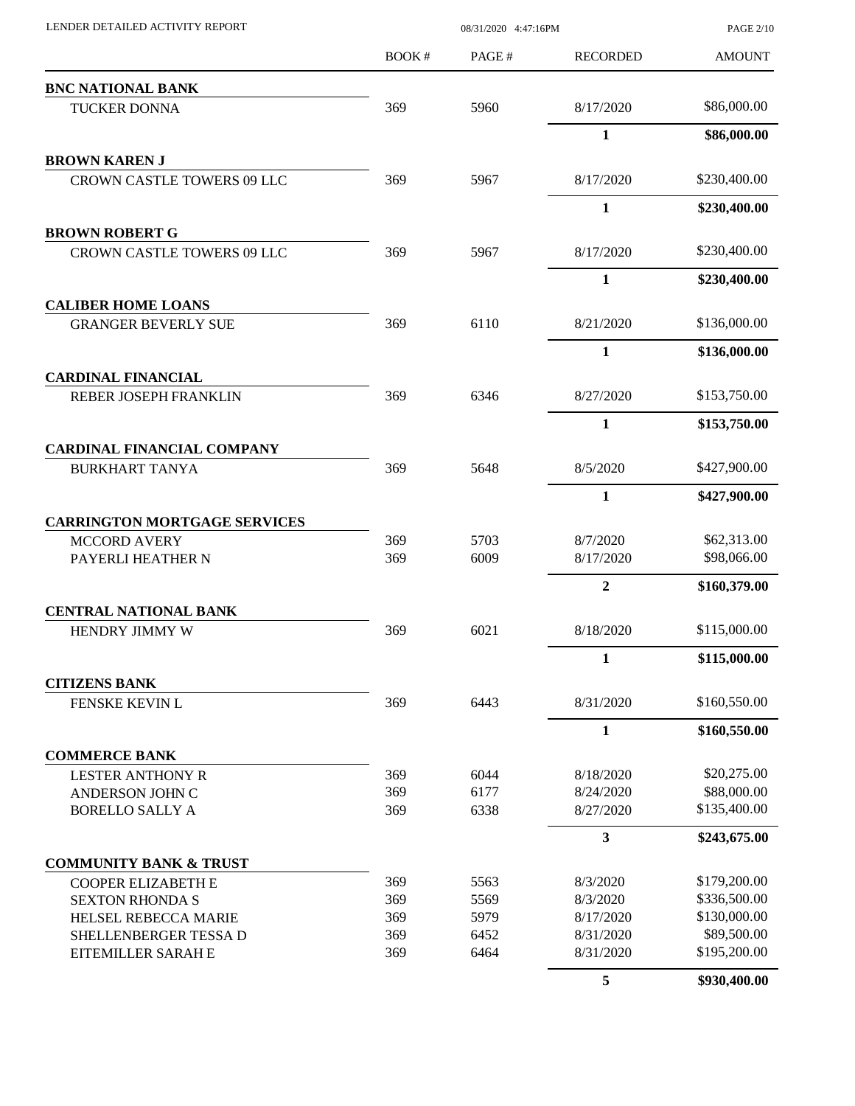| LENDER DETAILED ACTIVITY REPORT          | 08/31/2020 4:47:16PM |       |                 | <b>PAGE 2/10</b> |
|------------------------------------------|----------------------|-------|-----------------|------------------|
|                                          | <b>BOOK#</b>         | PAGE# | <b>RECORDED</b> | <b>AMOUNT</b>    |
| <b>BNC NATIONAL BANK</b>                 |                      |       |                 |                  |
| <b>TUCKER DONNA</b>                      | 369                  | 5960  | 8/17/2020       | \$86,000.00      |
|                                          |                      |       | 1               | \$86,000.00      |
| <b>BROWN KAREN J</b>                     |                      |       |                 |                  |
| <b>CROWN CASTLE TOWERS 09 LLC</b>        | 369                  | 5967  | 8/17/2020       | \$230,400.00     |
|                                          |                      |       | $\mathbf{1}$    | \$230,400.00     |
| <b>BROWN ROBERT G</b>                    |                      |       |                 |                  |
| <b>CROWN CASTLE TOWERS 09 LLC</b>        | 369                  | 5967  | 8/17/2020       | \$230,400.00     |
|                                          |                      |       | $\mathbf{1}$    | \$230,400.00     |
| <b>CALIBER HOME LOANS</b>                |                      |       |                 |                  |
| <b>GRANGER BEVERLY SUE</b>               | 369                  | 6110  | 8/21/2020       | \$136,000.00     |
|                                          |                      |       | $\mathbf{1}$    | \$136,000.00     |
| <b>CARDINAL FINANCIAL</b>                |                      |       |                 |                  |
| REBER JOSEPH FRANKLIN                    | 369                  | 6346  | 8/27/2020       | \$153,750.00     |
|                                          |                      |       | 1               | \$153,750.00     |
| <b>CARDINAL FINANCIAL COMPANY</b>        |                      |       |                 |                  |
| <b>BURKHART TANYA</b>                    | 369                  | 5648  | 8/5/2020        | \$427,900.00     |
|                                          |                      |       | $\mathbf{1}$    | \$427,900.00     |
| <b>CARRINGTON MORTGAGE SERVICES</b>      | 369                  | 5703  | 8/7/2020        | \$62,313.00      |
| <b>MCCORD AVERY</b><br>PAYERLI HEATHER N | 369                  | 6009  | 8/17/2020       | \$98,066.00      |
|                                          |                      |       | $\overline{2}$  | \$160,379.00     |
| <b>CENTRAL NATIONAL BANK</b>             |                      |       |                 |                  |
| HENDRY JIMMY W                           | 369                  | 6021  | 8/18/2020       | \$115,000.00     |
|                                          |                      |       | 1               | \$115,000.00     |
| <b>CITIZENS BANK</b>                     |                      |       |                 |                  |
| FENSKE KEVIN L                           | 369                  | 6443  | 8/31/2020       | \$160,550.00     |
|                                          |                      |       | $\mathbf{1}$    | \$160,550.00     |
| <b>COMMERCE BANK</b>                     |                      |       |                 |                  |
| <b>LESTER ANTHONY R</b>                  | 369                  | 6044  | 8/18/2020       | \$20,275.00      |
| ANDERSON JOHN C                          | 369                  | 6177  | 8/24/2020       | \$88,000.00      |
| <b>BORELLO SALLY A</b>                   | 369                  | 6338  | 8/27/2020       | \$135,400.00     |
|                                          |                      |       | 3               | \$243,675.00     |
| <b>COMMUNITY BANK &amp; TRUST</b>        |                      |       |                 |                  |
| <b>COOPER ELIZABETH E</b>                | 369                  | 5563  | 8/3/2020        | \$179,200.00     |
| <b>SEXTON RHONDA S</b>                   | 369                  | 5569  | 8/3/2020        | \$336,500.00     |
| HELSEL REBECCA MARIE                     | 369                  | 5979  | 8/17/2020       | \$130,000.00     |
| SHELLENBERGER TESSA D                    | 369                  | 6452  | 8/31/2020       | \$89,500.00      |
| EITEMILLER SARAH E                       | 369                  | 6464  | 8/31/2020       | \$195,200.00     |
|                                          |                      |       | 5               | \$930,400.00     |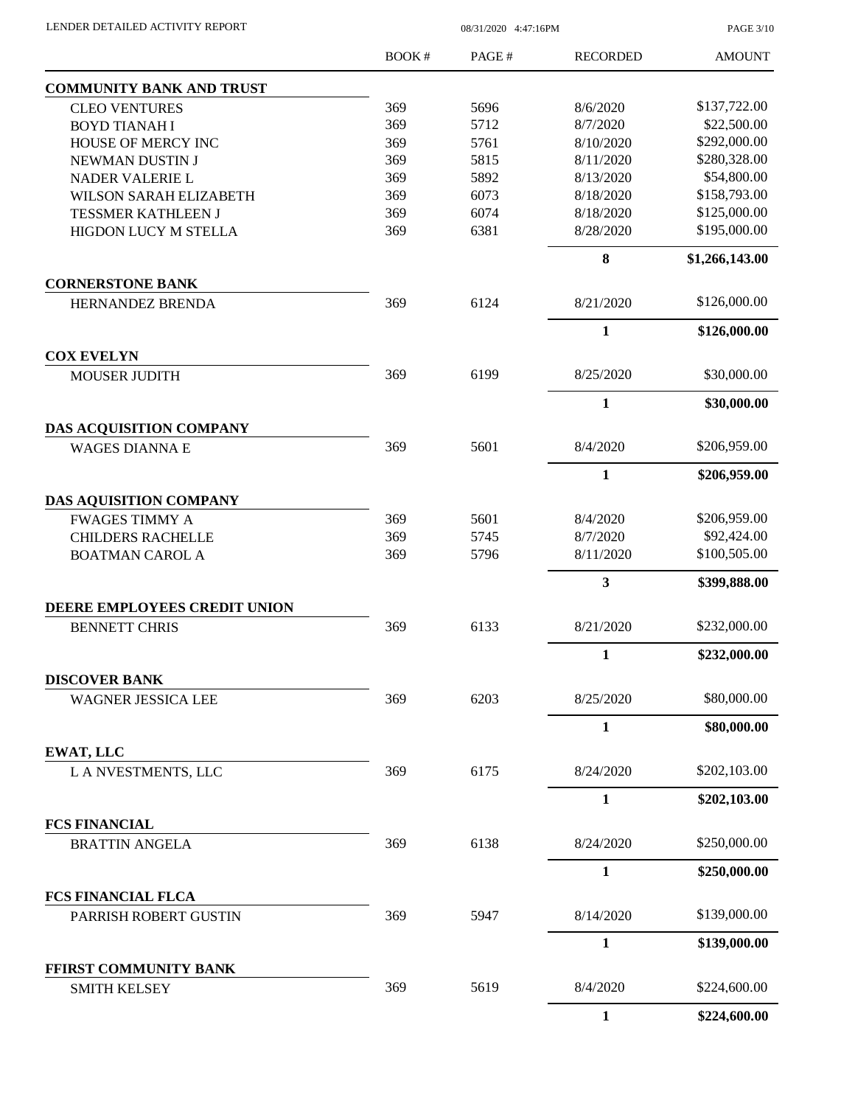PAGE 3/10

|                                                  | <b>BOOK#</b> | PAGE# | <b>RECORDED</b>         | <b>AMOUNT</b>  |
|--------------------------------------------------|--------------|-------|-------------------------|----------------|
| <b>COMMUNITY BANK AND TRUST</b>                  |              |       |                         |                |
| <b>CLEO VENTURES</b>                             | 369          | 5696  | 8/6/2020                | \$137,722.00   |
| <b>BOYD TIANAH I</b>                             | 369          | 5712  | 8/7/2020                | \$22,500.00    |
| HOUSE OF MERCY INC                               | 369          | 5761  | 8/10/2020               | \$292,000.00   |
| NEWMAN DUSTIN J                                  | 369          | 5815  | 8/11/2020               | \$280,328.00   |
| NADER VALERIE L                                  | 369          | 5892  | 8/13/2020               | \$54,800.00    |
| <b>WILSON SARAH ELIZABETH</b>                    | 369          | 6073  | 8/18/2020               | \$158,793.00   |
| <b>TESSMER KATHLEEN J</b>                        | 369          | 6074  | 8/18/2020               | \$125,000.00   |
| HIGDON LUCY M STELLA                             | 369          | 6381  | 8/28/2020               | \$195,000.00   |
|                                                  |              |       | 8                       | \$1,266,143.00 |
| <b>CORNERSTONE BANK</b>                          |              |       |                         |                |
| HERNANDEZ BRENDA                                 | 369          | 6124  | 8/21/2020               | \$126,000.00   |
|                                                  |              |       | $\mathbf{1}$            | \$126,000.00   |
| <b>COX EVELYN</b><br><b>MOUSER JUDITH</b>        | 369          | 6199  | 8/25/2020               | \$30,000.00    |
|                                                  |              |       |                         |                |
|                                                  |              |       | $\mathbf{1}$            | \$30,000.00    |
| DAS ACQUISITION COMPANY<br><b>WAGES DIANNA E</b> | 369          | 5601  | 8/4/2020                | \$206,959.00   |
|                                                  |              |       | $\mathbf{1}$            | \$206,959.00   |
| <b>DAS AQUISITION COMPANY</b>                    |              |       |                         |                |
| <b>FWAGES TIMMY A</b>                            | 369          | 5601  | 8/4/2020                | \$206,959.00   |
| <b>CHILDERS RACHELLE</b>                         | 369          | 5745  | 8/7/2020                | \$92,424.00    |
| <b>BOATMAN CAROL A</b>                           | 369          | 5796  | 8/11/2020               | \$100,505.00   |
|                                                  |              |       | $\overline{\mathbf{3}}$ | \$399,888.00   |
| DEERE EMPLOYEES CREDIT UNION                     |              |       |                         |                |
| <b>BENNETT CHRIS</b>                             | 369          | 6133  | 8/21/2020               | \$232,000.00   |
|                                                  |              |       | $\mathbf{1}$            | \$232,000.00   |
| <b>DISCOVER BANK</b>                             | 369          | 6203  | 8/25/2020               | \$80,000.00    |
| WAGNER JESSICA LEE                               |              |       |                         |                |
|                                                  |              |       | $\mathbf{1}$            | \$80,000.00    |
| <b>EWAT, LLC</b><br>L A NVESTMENTS, LLC          | 369          | 6175  | 8/24/2020               | \$202,103.00   |
|                                                  |              |       | $\mathbf{1}$            | \$202,103.00   |
| <b>FCS FINANCIAL</b>                             |              |       |                         |                |
| <b>BRATTIN ANGELA</b>                            | 369          | 6138  | 8/24/2020               | \$250,000.00   |
|                                                  |              |       | $\mathbf{1}$            | \$250,000.00   |
| <b>FCS FINANCIAL FLCA</b>                        |              |       |                         |                |
| PARRISH ROBERT GUSTIN                            | 369          | 5947  | 8/14/2020               | \$139,000.00   |
|                                                  |              |       | $\mathbf{1}$            | \$139,000.00   |
| FFIRST COMMUNITY BANK<br><b>SMITH KELSEY</b>     | 369          | 5619  | 8/4/2020                | \$224,600.00   |
|                                                  |              |       | $\mathbf{1}$            | \$224,600.00   |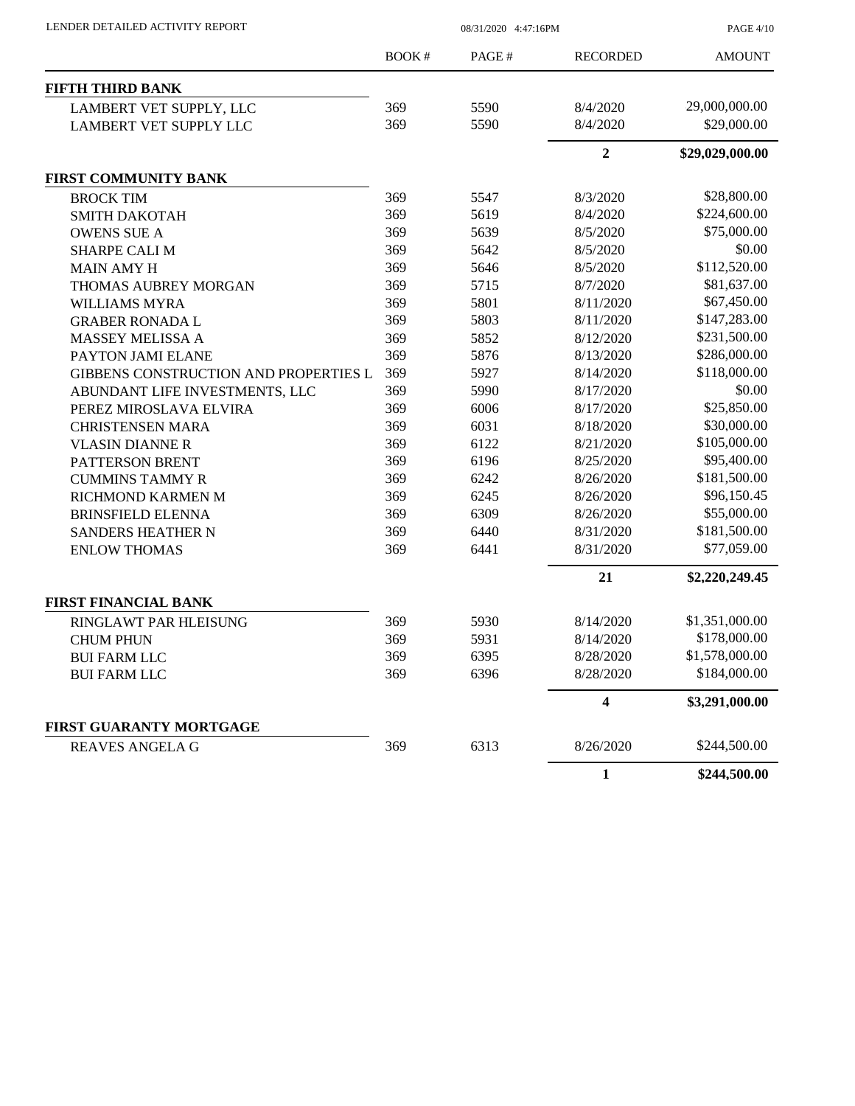| LENDER DETAILED ACTIVITY REPORT |  |
|---------------------------------|--|
|                                 |  |

08/31/2020 4:47:16PM

PAGE 4/10

|                                       | BOOK# | PAGE# | <b>RECORDED</b> | <b>AMOUNT</b>   |
|---------------------------------------|-------|-------|-----------------|-----------------|
| <b>FIFTH THIRD BANK</b>               |       |       |                 |                 |
| LAMBERT VET SUPPLY, LLC               | 369   | 5590  | 8/4/2020        | 29,000,000.00   |
| <b>LAMBERT VET SUPPLY LLC</b>         | 369   | 5590  | 8/4/2020        | \$29,000.00     |
|                                       |       |       | $\overline{2}$  | \$29,029,000.00 |
| FIRST COMMUNITY BANK                  |       |       |                 |                 |
| <b>BROCK TIM</b>                      | 369   | 5547  | 8/3/2020        | \$28,800.00     |
| <b>SMITH DAKOTAH</b>                  | 369   | 5619  | 8/4/2020        | \$224,600.00    |
| <b>OWENS SUE A</b>                    | 369   | 5639  | 8/5/2020        | \$75,000.00     |
| <b>SHARPE CALI M</b>                  | 369   | 5642  | 8/5/2020        | \$0.00          |
| <b>MAIN AMY H</b>                     | 369   | 5646  | 8/5/2020        | \$112,520.00    |
| <b>THOMAS AUBREY MORGAN</b>           | 369   | 5715  | 8/7/2020        | \$81,637.00     |
| WILLIAMS MYRA                         | 369   | 5801  | 8/11/2020       | \$67,450.00     |
| <b>GRABER RONADA L</b>                | 369   | 5803  | 8/11/2020       | \$147,283.00    |
| MASSEY MELISSA A                      | 369   | 5852  | 8/12/2020       | \$231,500.00    |
| PAYTON JAMI ELANE                     | 369   | 5876  | 8/13/2020       | \$286,000.00    |
| GIBBENS CONSTRUCTION AND PROPERTIES L | 369   | 5927  | 8/14/2020       | \$118,000.00    |
| ABUNDANT LIFE INVESTMENTS, LLC        | 369   | 5990  | 8/17/2020       | \$0.00          |
| PEREZ MIROSLAVA ELVIRA                | 369   | 6006  | 8/17/2020       | \$25,850.00     |
| <b>CHRISTENSEN MARA</b>               | 369   | 6031  | 8/18/2020       | \$30,000.00     |
| <b>VLASIN DIANNE R</b>                | 369   | 6122  | 8/21/2020       | \$105,000.00    |
| PATTERSON BRENT                       | 369   | 6196  | 8/25/2020       | \$95,400.00     |
| <b>CUMMINS TAMMY R</b>                | 369   | 6242  | 8/26/2020       | \$181,500.00    |
| RICHMOND KARMEN M                     | 369   | 6245  | 8/26/2020       | \$96,150.45     |
| <b>BRINSFIELD ELENNA</b>              | 369   | 6309  | 8/26/2020       | \$55,000.00     |
| <b>SANDERS HEATHER N</b>              | 369   | 6440  | 8/31/2020       | \$181,500.00    |
| <b>ENLOW THOMAS</b>                   | 369   | 6441  | 8/31/2020       | \$77,059.00     |
|                                       |       |       | 21              | \$2,220,249.45  |
| <b>FIRST FINANCIAL BANK</b>           |       |       |                 |                 |
| RINGLAWT PAR HLEISUNG                 | 369   | 5930  | 8/14/2020       | \$1,351,000.00  |
| <b>CHUM PHUN</b>                      | 369   | 5931  | 8/14/2020       | \$178,000.00    |
| <b>BUI FARM LLC</b>                   | 369   | 6395  | 8/28/2020       | \$1,578,000.00  |
| <b>BUI FARM LLC</b>                   | 369   | 6396  | 8/28/2020       | \$184,000.00    |
|                                       |       |       | 4               | \$3,291,000.00  |
| FIRST GUARANTY MORTGAGE               |       |       |                 |                 |
| <b>REAVES ANGELA G</b>                | 369   | 6313  | 8/26/2020       | \$244,500.00    |
|                                       |       |       | $\mathbf{1}$    | \$244,500.00    |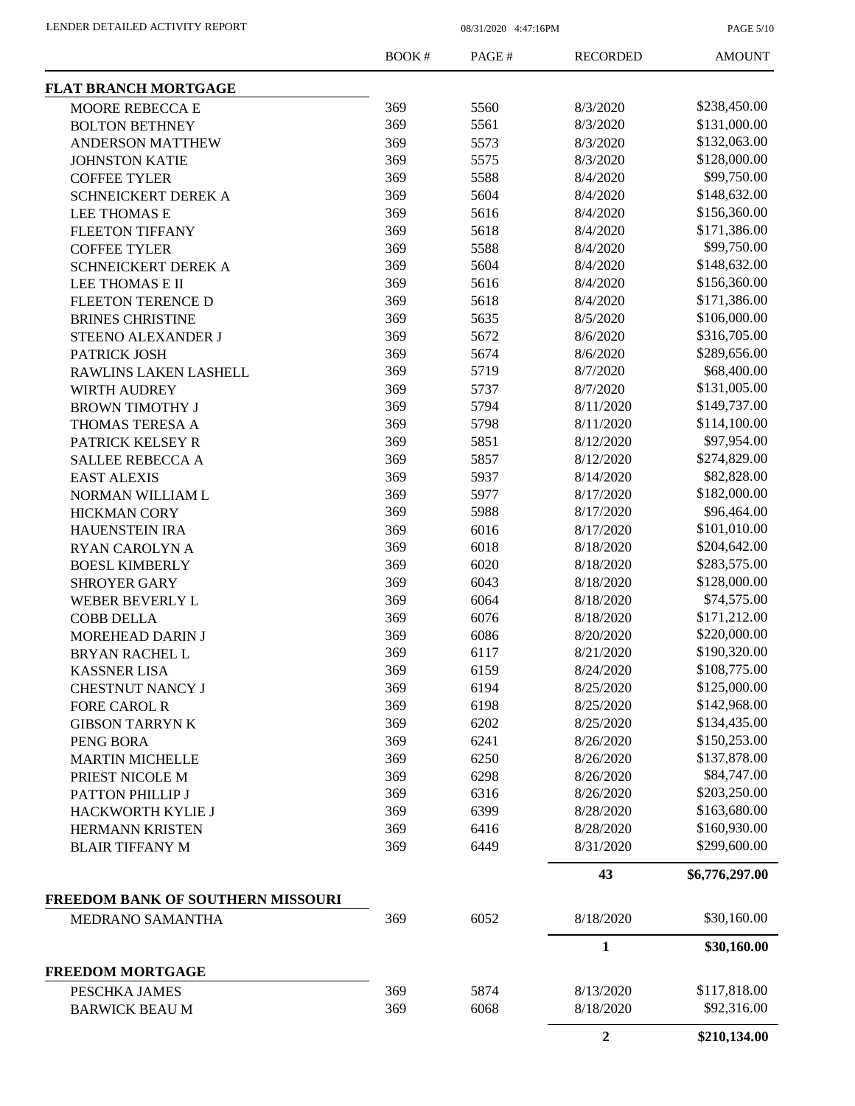PAGE 5/10

|                                          | <b>BOOK#</b> | PAGE# | <b>RECORDED</b>  | <b>AMOUNT</b>  |
|------------------------------------------|--------------|-------|------------------|----------------|
| <b>FLAT BRANCH MORTGAGE</b>              |              |       |                  |                |
| MOORE REBECCA E                          | 369          | 5560  | 8/3/2020         | \$238,450.00   |
| <b>BOLTON BETHNEY</b>                    | 369          | 5561  | 8/3/2020         | \$131,000.00   |
| <b>ANDERSON MATTHEW</b>                  | 369          | 5573  | 8/3/2020         | \$132,063.00   |
| <b>JOHNSTON KATIE</b>                    | 369          | 5575  | 8/3/2020         | \$128,000.00   |
| <b>COFFEE TYLER</b>                      | 369          | 5588  | 8/4/2020         | \$99,750.00    |
| <b>SCHNEICKERT DEREK A</b>               | 369          | 5604  | 8/4/2020         | \$148,632.00   |
| LEE THOMAS E                             | 369          | 5616  | 8/4/2020         | \$156,360.00   |
| <b>FLEETON TIFFANY</b>                   | 369          | 5618  | 8/4/2020         | \$171,386.00   |
| <b>COFFEE TYLER</b>                      | 369          | 5588  | 8/4/2020         | \$99,750.00    |
| SCHNEICKERT DEREK A                      | 369          | 5604  | 8/4/2020         | \$148,632.00   |
| LEE THOMAS E II                          | 369          | 5616  | 8/4/2020         | \$156,360.00   |
| FLEETON TERENCE D                        | 369          | 5618  | 8/4/2020         | \$171,386.00   |
| <b>BRINES CHRISTINE</b>                  | 369          | 5635  | 8/5/2020         | \$106,000.00   |
| <b>STEENO ALEXANDER J</b>                | 369          | 5672  | 8/6/2020         | \$316,705.00   |
| PATRICK JOSH                             | 369          | 5674  | 8/6/2020         | \$289,656.00   |
| RAWLINS LAKEN LASHELL                    | 369          | 5719  | 8/7/2020         | \$68,400.00    |
| <b>WIRTH AUDREY</b>                      | 369          | 5737  | 8/7/2020         | \$131,005.00   |
| <b>BROWN TIMOTHY J</b>                   | 369          | 5794  | 8/11/2020        | \$149,737.00   |
| THOMAS TERESA A                          | 369          | 5798  | 8/11/2020        | \$114,100.00   |
| PATRICK KELSEY R                         | 369          | 5851  | 8/12/2020        | \$97,954.00    |
| <b>SALLEE REBECCA A</b>                  | 369          | 5857  | 8/12/2020        | \$274,829.00   |
| <b>EAST ALEXIS</b>                       | 369          | 5937  | 8/14/2020        | \$82,828.00    |
| NORMAN WILLIAM L                         | 369          | 5977  | 8/17/2020        | \$182,000.00   |
| <b>HICKMAN CORY</b>                      | 369          | 5988  | 8/17/2020        | \$96,464.00    |
| <b>HAUENSTEIN IRA</b>                    | 369          | 6016  | 8/17/2020        | \$101,010.00   |
| RYAN CAROLYN A                           | 369          | 6018  | 8/18/2020        | \$204,642.00   |
| <b>BOESL KIMBERLY</b>                    | 369          | 6020  | 8/18/2020        | \$283,575.00   |
| <b>SHROYER GARY</b>                      | 369          | 6043  | 8/18/2020        | \$128,000.00   |
| WEBER BEVERLY L                          | 369          | 6064  | 8/18/2020        | \$74,575.00    |
|                                          | 369          | 6076  | 8/18/2020        | \$171,212.00   |
| <b>COBB DELLA</b>                        | 369          | 6086  | 8/20/2020        | \$220,000.00   |
| MOREHEAD DARIN J                         | 369          | 6117  | 8/21/2020        | \$190,320.00   |
| <b>BRYAN RACHEL L</b>                    |              |       |                  | \$108,775.00   |
| <b>KASSNER LISA</b>                      | 369          | 6159  | 8/24/2020        | \$125,000.00   |
| <b>CHESTNUT NANCY J</b>                  | 369          | 6194  | 8/25/2020        | \$142,968.00   |
| <b>FORE CAROL R</b>                      | 369          | 6198  | 8/25/2020        |                |
| <b>GIBSON TARRYN K</b>                   | 369          | 6202  | 8/25/2020        | \$134,435.00   |
| PENG BORA                                | 369          | 6241  | 8/26/2020        | \$150,253.00   |
| <b>MARTIN MICHELLE</b>                   | 369          | 6250  | 8/26/2020        | \$137,878.00   |
| PRIEST NICOLE M                          | 369          | 6298  | 8/26/2020        | \$84,747.00    |
| PATTON PHILLIP J                         | 369          | 6316  | 8/26/2020        | \$203,250.00   |
| HACKWORTH KYLIE J                        | 369          | 6399  | 8/28/2020        | \$163,680.00   |
| HERMANN KRISTEN                          | 369          | 6416  | 8/28/2020        | \$160,930.00   |
| <b>BLAIR TIFFANY M</b>                   | 369          | 6449  | 8/31/2020        | \$299,600.00   |
|                                          |              |       | 43               | \$6,776,297.00 |
| FREEDOM BANK OF SOUTHERN MISSOURI        |              |       |                  | \$30,160.00    |
| <b>MEDRANO SAMANTHA</b>                  | 369          | 6052  | 8/18/2020        |                |
|                                          |              |       | 1                | \$30,160.00    |
| <b>FREEDOM MORTGAGE</b><br>PESCHKA JAMES | 369          | 5874  | 8/13/2020        | \$117,818.00   |
| <b>BARWICK BEAU M</b>                    | 369          | 6068  | 8/18/2020        | \$92,316.00    |
|                                          |              |       | $\boldsymbol{2}$ | \$210,134.00   |
|                                          |              |       |                  |                |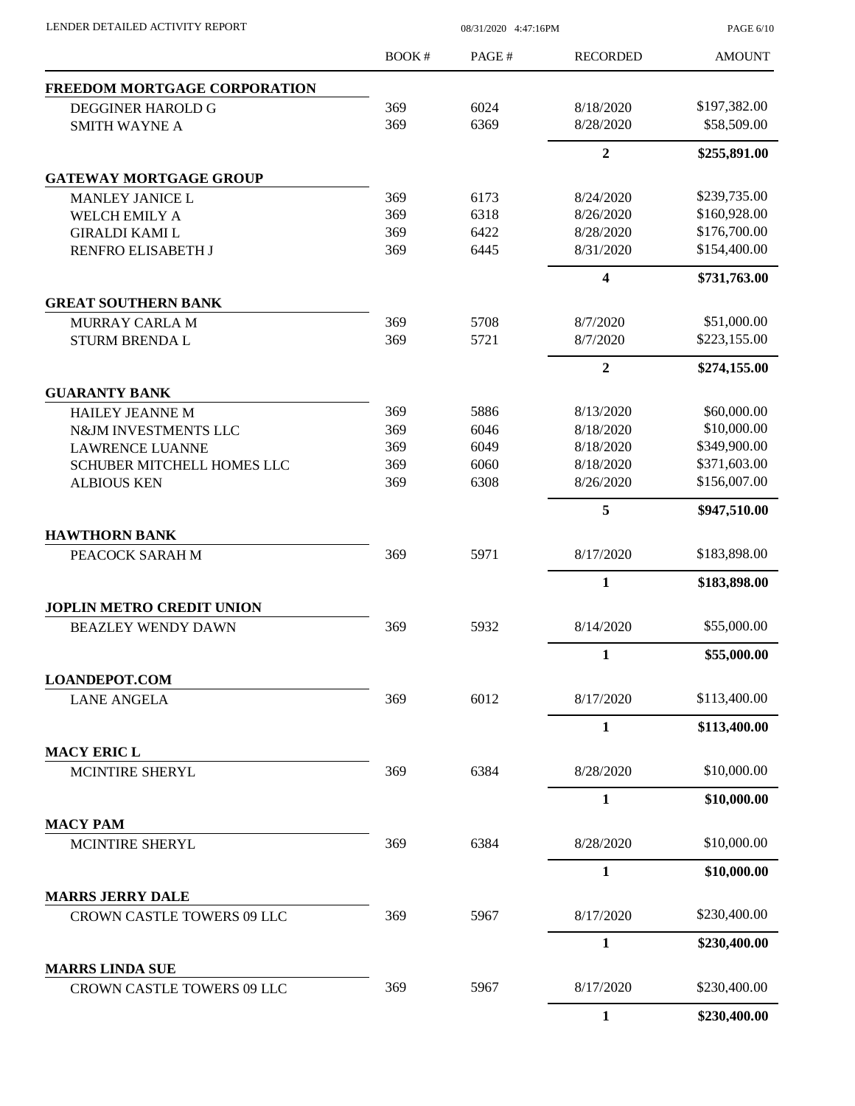PAGE 6/10

|                                                             | BOOK# | PAGE# | <b>RECORDED</b> | <b>AMOUNT</b> |
|-------------------------------------------------------------|-------|-------|-----------------|---------------|
| FREEDOM MORTGAGE CORPORATION                                |       |       |                 |               |
| <b>DEGGINER HAROLD G</b>                                    | 369   | 6024  | 8/18/2020       | \$197,382.00  |
| <b>SMITH WAYNE A</b>                                        | 369   | 6369  | 8/28/2020       | \$58,509.00   |
|                                                             |       |       | $\overline{2}$  | \$255,891.00  |
| <b>GATEWAY MORTGAGE GROUP</b>                               |       |       |                 |               |
| <b>MANLEY JANICE L</b>                                      | 369   | 6173  | 8/24/2020       | \$239,735.00  |
| <b>WELCH EMILY A</b>                                        | 369   | 6318  | 8/26/2020       | \$160,928.00  |
| <b>GIRALDI KAMI L</b>                                       | 369   | 6422  | 8/28/2020       | \$176,700.00  |
| RENFRO ELISABETH J                                          | 369   | 6445  | 8/31/2020       | \$154,400.00  |
|                                                             |       |       | 4               | \$731,763.00  |
| <b>GREAT SOUTHERN BANK</b>                                  |       |       |                 |               |
| MURRAY CARLA M                                              | 369   | 5708  | 8/7/2020        | \$51,000.00   |
| <b>STURM BRENDA L</b>                                       | 369   | 5721  | 8/7/2020        | \$223,155.00  |
|                                                             |       |       | $\overline{2}$  | \$274,155.00  |
| <b>GUARANTY BANK</b>                                        |       |       |                 |               |
| <b>HAILEY JEANNE M</b>                                      | 369   | 5886  | 8/13/2020       | \$60,000.00   |
| N&JM INVESTMENTS LLC                                        | 369   | 6046  | 8/18/2020       | \$10,000.00   |
| <b>LAWRENCE LUANNE</b>                                      | 369   | 6049  | 8/18/2020       | \$349,900.00  |
| SCHUBER MITCHELL HOMES LLC                                  | 369   | 6060  | 8/18/2020       | \$371,603.00  |
| <b>ALBIOUS KEN</b>                                          | 369   | 6308  | 8/26/2020       | \$156,007.00  |
|                                                             |       |       | 5               | \$947,510.00  |
| <b>HAWTHORN BANK</b>                                        |       |       |                 |               |
| PEACOCK SARAH M                                             | 369   | 5971  | 8/17/2020       | \$183,898.00  |
|                                                             |       |       | 1               | \$183,898.00  |
| <b>JOPLIN METRO CREDIT UNION</b>                            |       |       |                 | \$55,000.00   |
| <b>BEAZLEY WENDY DAWN</b>                                   | 369   | 5932  | 8/14/2020       |               |
|                                                             |       |       | 1               | \$55,000.00   |
| <b>LOANDEPOT.COM</b><br><b>LANE ANGELA</b>                  | 369   | 6012  | 8/17/2020       | \$113,400.00  |
|                                                             |       |       | $\mathbf{1}$    | \$113,400.00  |
| <b>MACY ERIC L</b>                                          |       |       |                 |               |
| MCINTIRE SHERYL                                             | 369   | 6384  | 8/28/2020       | \$10,000.00   |
|                                                             |       |       | $\mathbf{1}$    | \$10,000.00   |
| <b>MACY PAM</b>                                             |       |       |                 |               |
| MCINTIRE SHERYL                                             | 369   | 6384  | 8/28/2020       | \$10,000.00   |
|                                                             |       |       | 1               | \$10,000.00   |
| <b>MARRS JERRY DALE</b>                                     |       |       |                 |               |
| CROWN CASTLE TOWERS 09 LLC                                  | 369   | 5967  | 8/17/2020       | \$230,400.00  |
|                                                             |       |       | $\mathbf{1}$    | \$230,400.00  |
| <b>MARRS LINDA SUE</b><br><b>CROWN CASTLE TOWERS 09 LLC</b> | 369   | 5967  | 8/17/2020       | \$230,400.00  |
|                                                             |       |       | $\mathbf{1}$    | \$230,400.00  |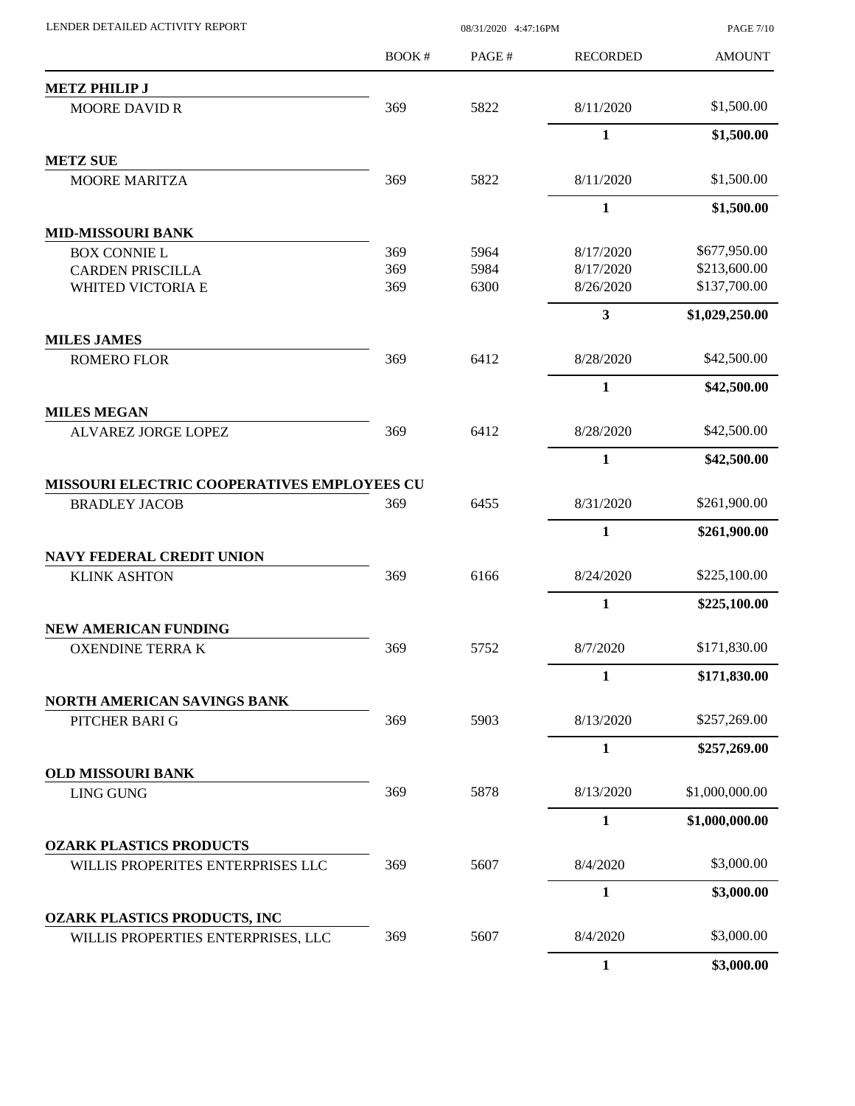|                                                                    | BOOK# | PAGE# | <b>RECORDED</b>         | <b>AMOUNT</b>  |
|--------------------------------------------------------------------|-------|-------|-------------------------|----------------|
| <b>METZ PHILIP J</b>                                               |       |       |                         |                |
| <b>MOORE DAVID R</b>                                               | 369   | 5822  | 8/11/2020               | \$1,500.00     |
|                                                                    |       |       | $\mathbf{1}$            | \$1,500.00     |
| <b>METZ SUE</b>                                                    |       |       |                         |                |
| <b>MOORE MARITZA</b>                                               | 369   | 5822  | 8/11/2020               | \$1,500.00     |
|                                                                    |       |       | $\mathbf{1}$            | \$1,500.00     |
| <b>MID-MISSOURI BANK</b>                                           |       |       |                         |                |
| <b>BOX CONNIE L</b>                                                | 369   | 5964  | 8/17/2020               | \$677,950.00   |
| <b>CARDEN PRISCILLA</b>                                            | 369   | 5984  | 8/17/2020               | \$213,600.00   |
| WHITED VICTORIA E                                                  | 369   | 6300  | 8/26/2020               | \$137,700.00   |
| <b>MILES JAMES</b>                                                 |       |       | $\overline{\mathbf{3}}$ | \$1,029,250.00 |
| <b>ROMERO FLOR</b>                                                 | 369   | 6412  | 8/28/2020               | \$42,500.00    |
|                                                                    |       |       | $\mathbf{1}$            | \$42,500.00    |
| <b>MILES MEGAN</b>                                                 |       |       |                         |                |
| ALVAREZ JORGE LOPEZ                                                | 369   | 6412  | 8/28/2020               | \$42,500.00    |
|                                                                    |       |       | $\mathbf{1}$            | \$42,500.00    |
| MISSOURI ELECTRIC COOPERATIVES EMPLOYEES CU                        |       |       |                         |                |
| <b>BRADLEY JACOB</b>                                               | 369   | 6455  | 8/31/2020               | \$261,900.00   |
|                                                                    |       |       | $\mathbf{1}$            | \$261,900.00   |
| <b>NAVY FEDERAL CREDIT UNION</b>                                   |       |       |                         |                |
| <b>KLINK ASHTON</b>                                                | 369   | 6166  | 8/24/2020               | \$225,100.00   |
|                                                                    |       |       | $\mathbf{1}$            | \$225,100.00   |
| NEW AMERICAN FUNDING                                               |       |       |                         |                |
| <b>OXENDINE TERRA K</b>                                            | 369   | 5752  | 8/7/2020                | \$171,830.00   |
|                                                                    |       |       | $\mathbf{1}$            | \$171,830.00   |
| NORTH AMERICAN SAVINGS BANK<br>PITCHER BARI G                      | 369   | 5903  | 8/13/2020               | \$257,269.00   |
|                                                                    |       |       | $\mathbf{1}$            | \$257,269.00   |
| <b>OLD MISSOURI BANK</b>                                           |       |       |                         |                |
| <b>LING GUNG</b>                                                   | 369   | 5878  | 8/13/2020               | \$1,000,000.00 |
|                                                                    |       |       | $\mathbf{1}$            | \$1,000,000.00 |
| <b>OZARK PLASTICS PRODUCTS</b>                                     |       |       |                         |                |
| WILLIS PROPERITES ENTERPRISES LLC                                  | 369   | 5607  | 8/4/2020                | \$3,000.00     |
|                                                                    |       |       | $\mathbf{1}$            | \$3,000.00     |
| OZARK PLASTICS PRODUCTS, INC<br>WILLIS PROPERTIES ENTERPRISES, LLC | 369   | 5607  | 8/4/2020                | \$3,000.00     |
|                                                                    |       |       | 1                       | \$3,000.00     |

LENDER DETAILED ACTIVITY REPORT 08/31/2020 4:47:16PM

PAGE 7/10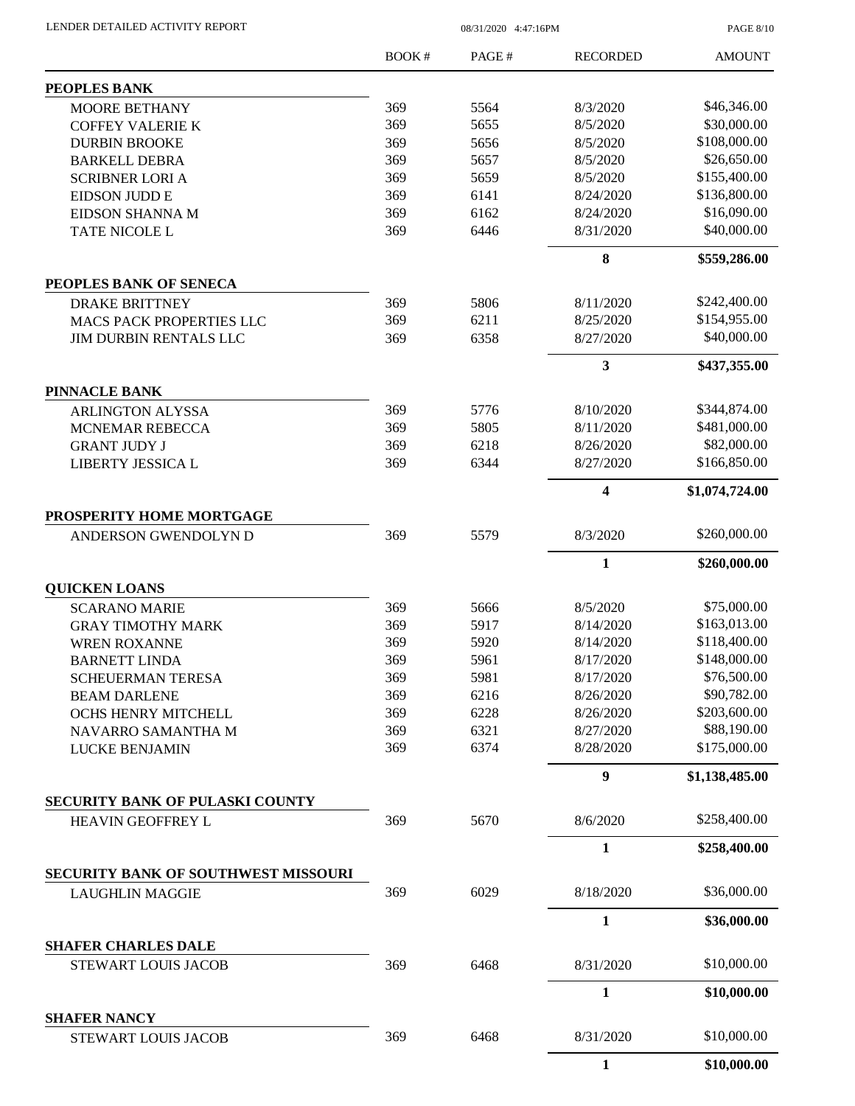LENDER DETAILED ACTIVITY REPORT 08/31/2020 4:47:16PM

PAGE 8/10

|                                                   | BOOK# | PAGE# | <b>RECORDED</b>         | <b>AMOUNT</b>  |
|---------------------------------------------------|-------|-------|-------------------------|----------------|
| PEOPLES BANK                                      |       |       |                         |                |
| <b>MOORE BETHANY</b>                              | 369   | 5564  | 8/3/2020                | \$46,346.00    |
| <b>COFFEY VALERIE K</b>                           | 369   | 5655  | 8/5/2020                | \$30,000.00    |
| <b>DURBIN BROOKE</b>                              | 369   | 5656  | 8/5/2020                | \$108,000.00   |
| <b>BARKELL DEBRA</b>                              | 369   | 5657  | 8/5/2020                | \$26,650.00    |
| <b>SCRIBNER LORI A</b>                            | 369   | 5659  | 8/5/2020                | \$155,400.00   |
| EIDSON JUDD E                                     | 369   | 6141  | 8/24/2020               | \$136,800.00   |
| EIDSON SHANNA M                                   | 369   | 6162  | 8/24/2020               | \$16,090.00    |
| TATE NICOLE L                                     | 369   | 6446  | 8/31/2020               | \$40,000.00    |
|                                                   |       |       | 8                       | \$559,286.00   |
| PEOPLES BANK OF SENECA                            |       |       |                         |                |
| <b>DRAKE BRITTNEY</b>                             | 369   | 5806  | 8/11/2020               | \$242,400.00   |
| <b>MACS PACK PROPERTIES LLC</b>                   | 369   | 6211  | 8/25/2020               | \$154,955.00   |
| <b>JIM DURBIN RENTALS LLC</b>                     | 369   | 6358  | 8/27/2020               | \$40,000.00    |
|                                                   |       |       | $\mathbf{3}$            | \$437,355.00   |
| <b>PINNACLE BANK</b>                              |       |       |                         |                |
| <b>ARLINGTON ALYSSA</b>                           | 369   | 5776  | 8/10/2020               | \$344,874.00   |
| MCNEMAR REBECCA                                   | 369   | 5805  | 8/11/2020               | \$481,000.00   |
| <b>GRANT JUDY J</b>                               | 369   | 6218  | 8/26/2020               | \$82,000.00    |
| LIBERTY JESSICA L                                 | 369   | 6344  | 8/27/2020               | \$166,850.00   |
|                                                   |       |       | $\overline{\mathbf{4}}$ | \$1,074,724.00 |
| PROSPERITY HOME MORTGAGE<br>ANDERSON GWENDOLYN D  | 369   | 5579  | 8/3/2020                | \$260,000.00   |
|                                                   |       |       |                         |                |
| <b>QUICKEN LOANS</b>                              |       |       | $\mathbf{1}$            | \$260,000.00   |
| <b>SCARANO MARIE</b>                              | 369   | 5666  | 8/5/2020                | \$75,000.00    |
| <b>GRAY TIMOTHY MARK</b>                          | 369   | 5917  | 8/14/2020               | \$163,013.00   |
| <b>WREN ROXANNE</b>                               | 369   | 5920  | 8/14/2020               | \$118,400.00   |
|                                                   | 369   | 5961  | 8/17/2020               | \$148,000.00   |
| <b>BARNETT LINDA</b>                              |       | 5981  |                         | \$76,500.00    |
| <b>SCHEUERMAN TERESA</b>                          | 369   |       | 8/17/2020               |                |
| <b>BEAM DARLENE</b>                               | 369   | 6216  | 8/26/2020               | \$90,782.00    |
| OCHS HENRY MITCHELL                               | 369   | 6228  | 8/26/2020               | \$203,600.00   |
| NAVARRO SAMANTHA M                                | 369   | 6321  | 8/27/2020               | \$88,190.00    |
| <b>LUCKE BENJAMIN</b>                             | 369   | 6374  | 8/28/2020               | \$175,000.00   |
|                                                   |       |       | $\boldsymbol{9}$        | \$1,138,485.00 |
| <b>SECURITY BANK OF PULASKI COUNTY</b>            |       |       |                         |                |
| HEAVIN GEOFFREY L                                 | 369   | 5670  | 8/6/2020                | \$258,400.00   |
|                                                   |       |       | $\mathbf{1}$            | \$258,400.00   |
| <b>SECURITY BANK OF SOUTHWEST MISSOURI</b>        |       |       |                         |                |
| <b>LAUGHLIN MAGGIE</b>                            | 369   | 6029  | 8/18/2020               | \$36,000.00    |
|                                                   |       |       | 1                       | \$36,000.00    |
| <b>SHAFER CHARLES DALE</b><br>STEWART LOUIS JACOB | 369   | 6468  | 8/31/2020               | \$10,000.00    |
|                                                   |       |       | $\mathbf{1}$            |                |
|                                                   |       |       |                         | \$10,000.00    |
| <b>SHAFER NANCY</b><br>STEWART LOUIS JACOB        | 369   | 6468  | 8/31/2020               | \$10,000.00    |
|                                                   |       |       | $\mathbf{1}$            | \$10,000.00    |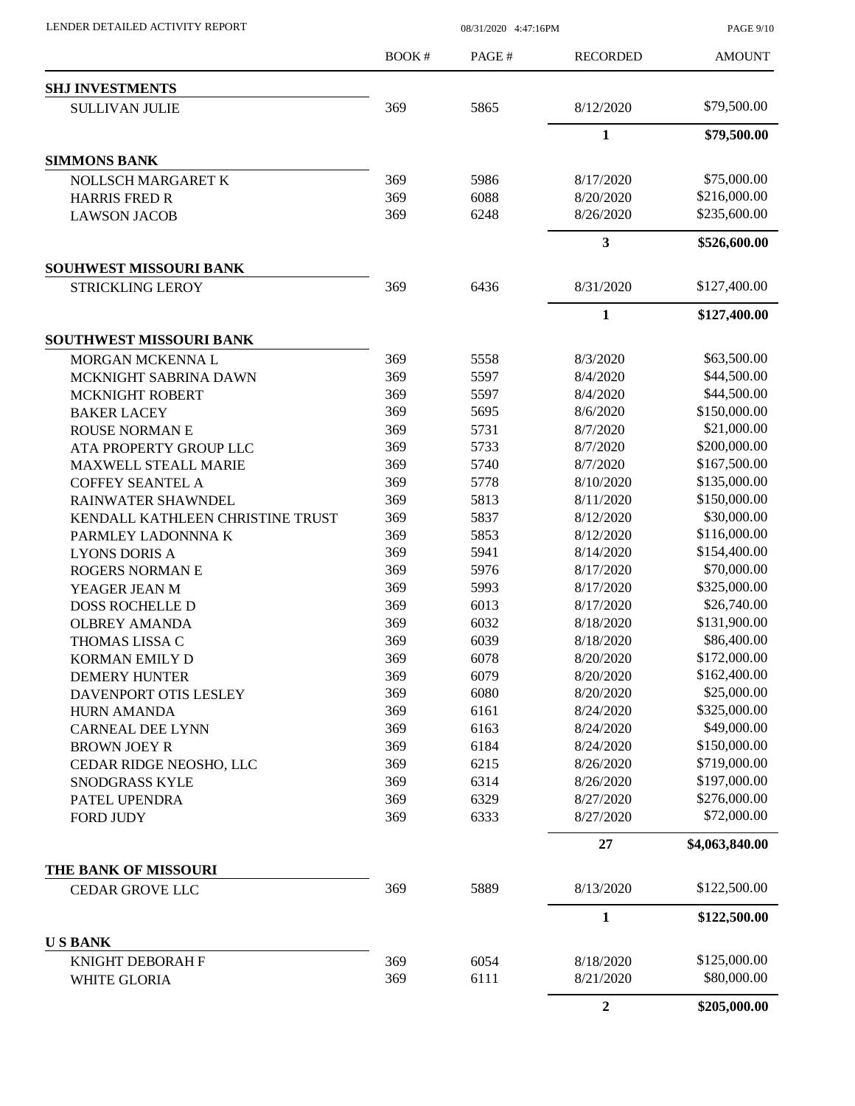LENDER DETAILED ACTIVITY REPORT 08/31/2020 4:47:16PM

PAGE 9/10

|                                  | BOOK# | PAGE# | <b>RECORDED</b> | <b>AMOUNT</b>  |
|----------------------------------|-------|-------|-----------------|----------------|
| <b>SHJ INVESTMENTS</b>           |       |       |                 |                |
| <b>SULLIVAN JULIE</b>            | 369   | 5865  | 8/12/2020       | \$79,500.00    |
|                                  |       |       | $\mathbf{1}$    | \$79,500.00    |
| <b>SIMMONS BANK</b>              |       |       |                 |                |
| <b>NOLLSCH MARGARET K</b>        | 369   | 5986  | 8/17/2020       | \$75,000.00    |
| <b>HARRIS FRED R</b>             | 369   | 6088  | 8/20/2020       | \$216,000.00   |
| <b>LAWSON JACOB</b>              | 369   | 6248  | 8/26/2020       | \$235,600.00   |
|                                  |       |       | 3               | \$526,600.00   |
| <b>SOUHWEST MISSOURI BANK</b>    |       |       |                 |                |
| <b>STRICKLING LEROY</b>          | 369   | 6436  | 8/31/2020       | \$127,400.00   |
|                                  |       |       | $\mathbf{1}$    | \$127,400.00   |
| SOUTHWEST MISSOURI BANK          |       |       |                 |                |
| MORGAN MCKENNA L                 | 369   | 5558  | 8/3/2020        | \$63,500.00    |
| MCKNIGHT SABRINA DAWN            | 369   | 5597  | 8/4/2020        | \$44,500.00    |
| <b>MCKNIGHT ROBERT</b>           | 369   | 5597  | 8/4/2020        | \$44,500.00    |
| <b>BAKER LACEY</b>               | 369   | 5695  | 8/6/2020        | \$150,000.00   |
| <b>ROUSE NORMAN E</b>            | 369   | 5731  | 8/7/2020        | \$21,000.00    |
| ATA PROPERTY GROUP LLC           | 369   | 5733  | 8/7/2020        | \$200,000.00   |
| <b>MAXWELL STEALL MARIE</b>      | 369   | 5740  | 8/7/2020        | \$167,500.00   |
| <b>COFFEY SEANTEL A</b>          | 369   | 5778  | 8/10/2020       | \$135,000.00   |
| RAINWATER SHAWNDEL               | 369   | 5813  | 8/11/2020       | \$150,000.00   |
| KENDALL KATHLEEN CHRISTINE TRUST | 369   | 5837  | 8/12/2020       | \$30,000.00    |
| PARMLEY LADONNNA K               | 369   | 5853  | 8/12/2020       | \$116,000.00   |
| <b>LYONS DORIS A</b>             | 369   | 5941  | 8/14/2020       | \$154,400.00   |
| <b>ROGERS NORMAN E</b>           | 369   | 5976  | 8/17/2020       | \$70,000.00    |
| YEAGER JEAN M                    | 369   | 5993  | 8/17/2020       | \$325,000.00   |
| <b>DOSS ROCHELLE D</b>           | 369   | 6013  | 8/17/2020       | \$26,740.00    |
| <b>OLBREY AMANDA</b>             | 369   | 6032  | 8/18/2020       | \$131,900.00   |
| THOMAS LISSA C                   | 369   | 6039  | 8/18/2020       | \$86,400.00    |
| <b>KORMAN EMILY D</b>            | 369   | 6078  | 8/20/2020       | \$172,000.00   |
| <b>DEMERY HUNTER</b>             | 369   | 6079  | 8/20/2020       | \$162,400.00   |
| DAVENPORT OTIS LESLEY            | 369   | 6080  | 8/20/2020       | \$25,000.00    |
| <b>HURN AMANDA</b>               | 369   | 6161  | 8/24/2020       | \$325,000.00   |
| <b>CARNEAL DEE LYNN</b>          | 369   | 6163  | 8/24/2020       | \$49,000.00    |
| <b>BROWN JOEY R</b>              | 369   | 6184  | 8/24/2020       | \$150,000.00   |
| CEDAR RIDGE NEOSHO, LLC          | 369   | 6215  | 8/26/2020       | \$719,000.00   |
| SNODGRASS KYLE                   | 369   | 6314  | 8/26/2020       | \$197,000.00   |
| PATEL UPENDRA                    | 369   | 6329  | 8/27/2020       | \$276,000.00   |
| <b>FORD JUDY</b>                 | 369   | 6333  | 8/27/2020       | \$72,000.00    |
|                                  |       |       | 27              | \$4,063,840.00 |
| THE BANK OF MISSOURI             |       |       |                 |                |
| <b>CEDAR GROVE LLC</b>           | 369   | 5889  | 8/13/2020       | \$122,500.00   |
|                                  |       |       | $\mathbf{1}$    | \$122,500.00   |
| <b>USBANK</b>                    |       |       |                 |                |
| KNIGHT DEBORAH F                 | 369   | 6054  | 8/18/2020       | \$125,000.00   |
| WHITE GLORIA                     | 369   | 6111  | 8/21/2020       | \$80,000.00    |
|                                  |       |       | $\overline{2}$  | \$205,000.00   |